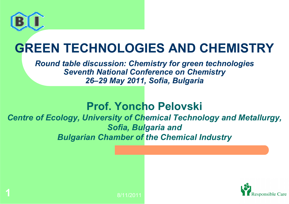

**1**

## **GREEN TECHNOLOGIES AND CHEMISTRY**

*Round table discussion: Chemistry for green technologies Seventh National Conference on Chemistry 26–29 May 2011, Sofia, Bulgaria*

#### **Prof. Yoncho Pelovski**

*Centre of Ecology, University of Chemical Technology and Metallurgy, Sofia, Bulgaria and Bulgarian Chamber of the Chemical Industry*

8/11/2011

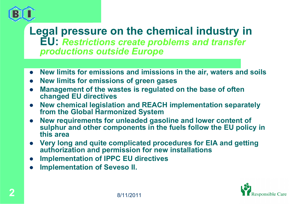

#### **Legal pressure on the chemical industry in EU:** *Restrictions create problems and transfer productions outside Europe*

- $\bullet$ **New limits for emissions and imissions in the air, waters and soils**
- $\bullet$ **New limits for emissions of green gases**
- $\bullet$  **Management of the wastes is regulated on the base of often changed EU directives**
- $\bullet$  **New chemical legislation and REACH implementation separately from the Global Harmonized System**
- $\bullet$  **New requirements for unleaded gasoline and lower content of sulphur and other components in the fuels follow the EU policy in this area**
- $\bullet$  **Very long and quite complicated procedures for EIA and getting authorization and permission for new installations**
- $\bullet$ **Implementation of IPPC EU directives**
- $\bullet$ **Implementation of Seveso II.**

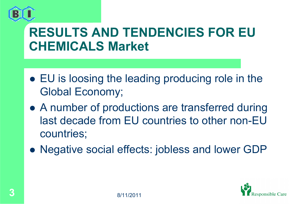

## **RESULTS AND TENDENCIES FOR EU CHEMICALS Market**

- EU is loosing the leading producing role in the Global Economy;
- A number of productions are transferred during last decade from EU countries to other non-EU countries;
- Negative social effects: jobless and lower GDP

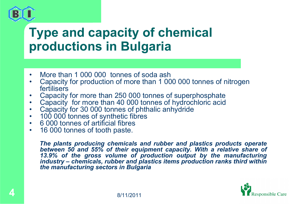## **Type and capacity of chemical productions in Bulgaria**

- •More than 1 000 000 tonnes of soda ash
- • Capacity for production of more than 1 000 000 tonnes of nitrogen fertilisers
- •Capacity for more than 250 000 tonnes of superphosphate
- •Capacity for more than 40 000 tonnes of hydrochloric acid
- •Capacity for 30 000 tonnes of phthalic anhydride
- $\bullet$ 100 000 tonnes of synthetic fibres
- •6 000 tonnes of artificial fibres
- •16 000 tonnes of tooth paste.

*The plants producing chemicals and rubber and plastics products operate between 50 and 55% of their equipment capacity. With a relative share of 13.9% of the gross volume of production output by the manufacturing industry – chemicals, rubber and plastics items production ranks third within the manufacturing sectors in Bulgaria*

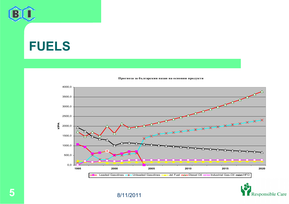

#### **FUELS**



**Прогноза за българския пазан на основни продукти**



8/11/2011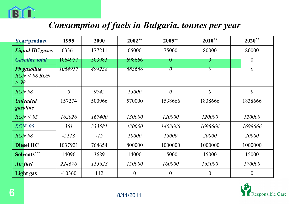

#### *Consumption of fuels in Bulgaria, tonnes per year*

| <b>Year/product</b> |                                    | 1995     | 2000   | $2002**$       | 2005**           | $2010**$ | $2020**$       |
|---------------------|------------------------------------|----------|--------|----------------|------------------|----------|----------------|
|                     | <b>Liquid HC gases</b>             | 63361    | 177211 | 65000          | 75000            | 80000    | 80000          |
|                     | <b>Gasoline total</b>              | 1064957  | 503983 | 698666         | $\rm 0$          | $\theta$ | $\overline{0}$ |
| > 98                | <b>Pb</b> gasoline<br>RON < 98 RON | 1064957  | 494238 | 683666         | $\theta$         | $\theta$ | $\theta$       |
| <b>RON 98</b>       |                                    | $\theta$ | 9745   | 15000          | $\theta$         | $\theta$ | $\theta$       |
| gasoline            | <b>Unleaded</b>                    | 157274   | 500966 | 570000         | 1538666          | 1838666  | 1838666        |
|                     | RON < 95                           | 162026   | 167400 | 130000         | 120000           | 120000   | 120000         |
| <b>RON</b> 95       |                                    | 361      | 333581 | 430000         | 1403666          | 1698666  | 1698666        |
| <b>RON 98</b>       |                                    | $-5113$  | $-15$  | 10000          | 15000            | 20000    | <i>20000</i>   |
|                     | <b>Diesel HC</b>                   | 1037921  | 764654 | 800000         | 1000000          | 1000000  | 1000000        |
|                     | Solvents***                        | 14096    | 3689   | 14000          | 15000            | 15000    | 15000          |
| <b>Air fuel</b>     |                                    | 224676   | 115628 | 150000         | 160000           | 165000   | 170000         |
|                     | Light gas                          | $-10360$ | 112    | $\overline{0}$ | $\boldsymbol{0}$ | $\theta$ | $\theta$       |

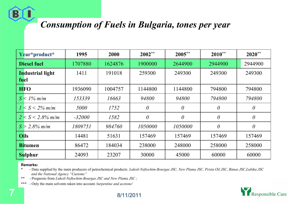#### *Consumption of Fuels in Bulgaria, tones per year*

| Year*product*                   |  | 1995     | 2000    | $2002**$ | $2005**$ | $2010**$ | $2020**$ |
|---------------------------------|--|----------|---------|----------|----------|----------|----------|
| <b>Diesel fuel</b>              |  | 1707880  | 1624876 | 1900000  | 2644900  | 2944900  | 2944900  |
| <b>Industrial light</b><br>fuel |  | 1411     | 191018  | 259300   | 249300   | 249300   | 249300   |
| <b>HFO</b>                      |  | 1936090  | 1004757 | 1144800  | 1144800  | 794800   | 794800   |
| $S < 1\%$ m/m                   |  | 153339   | 16663   | 94800    | 94800    | 794800   | 794800   |
| $1 < S < 2\%$ m/m               |  | 5000     | 1752    | $\theta$ | $\theta$ | $\theta$ | $\theta$ |
| $2 < S < 2.8\%$ m/m             |  | $-32000$ | 1582    | $\theta$ | $\theta$ | $\theta$ | $\theta$ |
| $S > 2.8\%$ m/m                 |  | 1809751  | 984760  | 1050000  | 1050000  | $\theta$ | $\theta$ |
| <b>Oils</b>                     |  | 14481    | 51631   | 157469   | 157469   | 157469   | 157469   |
| <b>Bitumen</b>                  |  | 86472    | 184034  | 238000   | 248000   | 258000   | 258000   |
| Sulphur                         |  | 24093    | 23207   | 30000    | 45000    | 60000    | 60000    |

#### **Remarks:**

\* - Data supplied by the main producers of petrochemical products: Lukoil-Neftochim-Bourgas JSC, New Plama JSC, Prista Oil JSC, Bimas JSC, Lubika JSC *and the National Agency "Customs"*

\*\* - Prognosis from *Lukoil-Neftochim-Bourgas JSC and New Plama JSC ;*

\*\*\* - Only the main solvents taken into account */turpentine and acetone/*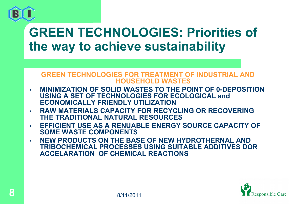

### **GREEN TECHNOLOGIES: Priorities of the way to achieve sustainability**

#### **GREEN TECHNOLOGIES FOR TREATMENT OF INDUSTRIAL AND HOUSEHOLD WASTES**

- П **MINIMIZATION OF SOLID WASTES TO THE POINT OF 0-DEPOSITION USING A SET OF TECHNOLOGIES FOR ECOLOGICAL and ECONOMICALLY FRIENDLY UTILIZATION**
- $\mathcal{L}_{\mathcal{A}}$  **RAW MATERIALS CAPACITY FOR RECYCLING OR RECOVERING THE TRADITIONAL NATURAL RESOURCES**
- п **EFFICIENT USE AS A RENUABLE ENERGY SOURCE CAPACITY OF SOME WASTE COMPONENTS**
- П **NEW PRODUCTS ON THE BASE OF NEW HYDROTHERNAL AND TRIBOCHEMICAL PROCESSES USING SUITABLE ADDITIVES DOR ACCELARATION OF CHEMICAL REACTIONS**

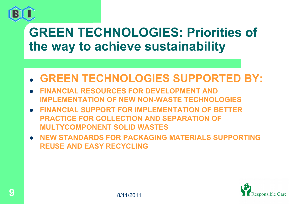

### **GREEN TECHNOLOGIES: Priorities of the way to achieve sustainability**

- $\bullet$ **GREEN TECHNOLOGIES SUPPORTED BY:**
- $\bullet$  **FINANCIAL RESOURCES FOR DEVELOPMENT AND IMPLEMENTATION OF NEW NON-WASTE TECHNOLOGIES**
- $\bullet$  **FINANCIAL SUPPORT FOR IMPLEMENTATION OF BETTER PRACTICE FOR COLLECTION AND SEPARATION OF MULTYCOMPONENT SOLID WASTES**
- $\bullet$  **NEW STANDARDS FOR PACKAGING MATERIALS SUPPORTING REUSE AND EASY RECYCLING**

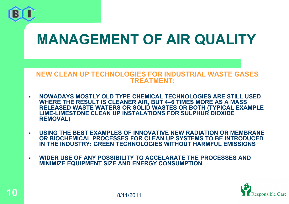

## **MANAGEMENT OF AIR QUALITY**

#### **NEW CLEAN UP TECHNOLOGIES FOR INDUSTRIAL WASTE GASES TREATMENT:**

- $\mathbf{r}$  **NOWADAYS MOSTLY OLD TYPE CHEMICAL TECHNOLOGIES ARE STILL USED WHERE THE RESULT IS CLEANER AIR, BUT 4–6 TIMES MORE AS A MASS RELEASED WASTE WATERS OR SOLID WASTES OR BOTH (TYPICAL EXAMPLE LIME-LIMESTONE CLEAN UP INSTALATIONS FOR SULPHUR DIOXIDE REMOVAL)**
- $\mathbf{r}$  **USING THE BEST EXAMPLES OF INNOVATIVE NEW RADIATION OR MEMBRANE OR BIOCHEMICAL PROCESSES FOR CLEAN UP SYSTEMS TO BE INTRODUCED IN THE INDUSTRY: GREEN TECHNOLOGIES WITHOUT HARMFUL EMISSIONS**
- $\overline{\phantom{a}}$  **WIDER USE OF ANY POSSIBILITY TO ACCELARATE THE PROCESSES AND MINIMIZE EQUIPMENT SIZE AND ENERGY CONSUMPTION**

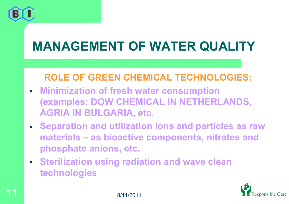

## **MANAGEMENT OF WATER QUALITY**

#### **ROLE OF GREEN CHEMICAL TECHNOLOGIES:**

- **Minimization of fresh water consumption (examples: DOW CHEMICAL IN NETHERLANDS, AGRIA IN BULGARIA, etc.**
- **Separation and utilization ions and particles as raw materials – as bioactive components, nitrates and phosphate anions, etc.**
- **Sterilization using radiation and wave clean technologies**

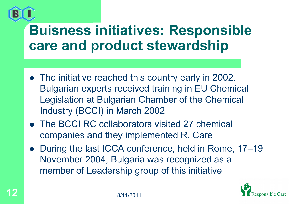

## **Buisness initiatives: Responsible care and product stewardship**

- The initiative reached this country early in 2002. Bulgarian experts received training in EU Chemical Legislation at Bulgarian Chamber of the Chemical Industry (BCCI) in March 2002
- The BCCI RC collaborators visited 27 chemical companies and they implemented R. Care
- $\bullet$  During the last ICCA conference, held in Rome, 17–19 November 2004, Bulgaria was recognized as a member of Leadership group of this initiative

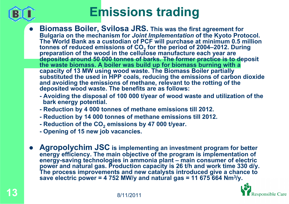

## **Emissions trading**

- $\bullet$  **Biomass Boiler, Svilosa JRS. This was the first agreement for Bulgaria on the mechanism for** *Joint Implementation* **of the Kyoto Protocol. The World Bank as a custodian of PCF will purchase at minimum 0.5 million tonnes of reduced emissions of CO 2preparation of the wood in the cellulose manufacture each year are deposited around 50 000 tonnes of barks. The former practice is to deposit the waste biomass. A boiler was build up for biomass burning with a capacity of 13 MW using wood waste. The Biomass Boiler partially substituted the used in HPP coals, reducing the emissions of carbon dioxide and avoiding the emissions of methane, relevant to the rotting of the deposited wood waste. The benefits are as follows:**
	- **- Avoiding the disposal of 100 000 t/year of wood waste and utilization of the bark energy potential.**
	- **- Reduction by 4 000 tonnes of methane emissions till 2012.**
	- **- Reduction by 14 000 tonnes of methane emissions till 2012.**
	- **- Reduction of the CO 2 emissions by 47 000 t/year.**
	- **- Opening of 15 new job vacancies.**
- $\bullet$  **Agropolychim JSC is implementing an investment program for better energy efficiency. The main objective of the program is implementation of energy-saving technologies in ammonia plant – main consumer of electric**  power and natural gas. Production capacity is 26 t/h and work time 330 d/y. **The process improvements and new catalysts introduced give a chance to save electric power = 4 752 MW/y and natural gas = 11 675 664 Nm 3/y.**

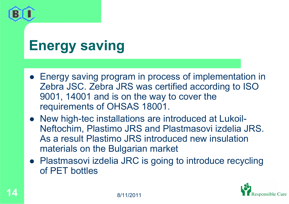

# **Energy saving**

- Energy saving program in process of implementation in Zebra JSC. Zebra JRS was certified according to ISO 9001, 14001 and is on the way to cover the requirements of OHSAS 18001.
- New high-tec installations are introduced at Lukoil-Neftochim, Plastimo JRS and Plastmasovi izdelia JRS. As a result Plastimo JRS introduced new insulation materials on the Bulgarian market
- Plastmasovi izdelia JRC is going to introduce recycling of PET bottles

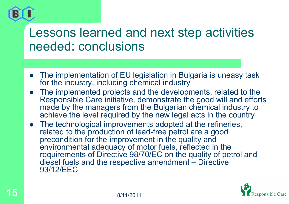

#### Lessons learned and next step activities needed: conclusions

- The implementation of EU legislation in Bulgaria is uneasy task for the industry, including chemical industry
- $\bullet$  The implemented projects and the developments, related to the Responsible Care initiative, demonstrate the good will and efforts made by the managers from the Bulgarian chemical industry to achieve the level required by the new legal acts in the country
- $\bullet$  The technological improvements adopted at the refineries, related to the production of lead-free petrol are a good precondition for the improvement in the quality and environmental adequacy of motor fuels, reflected in the requirements of Directive 98/70/EC on the quality of petrol and diesel fuels and the respective amendment – Directive 93/12/EEC